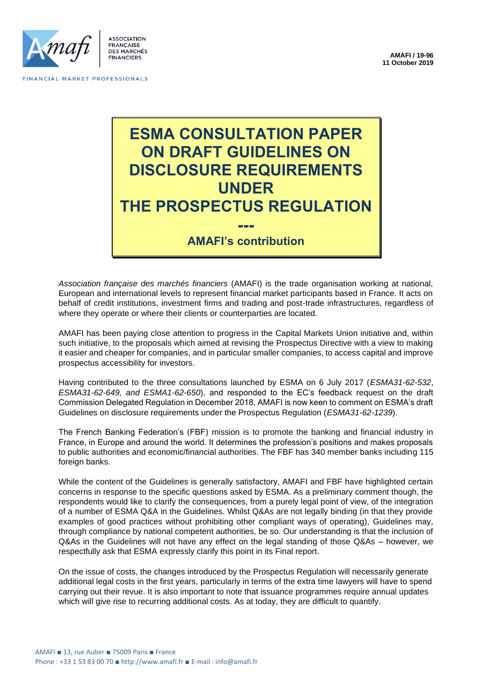

FINANCIAL MARKET PROFESSIONALS

# **ESMA CONSULTATION PAPER ON DRAFT GUIDELINES ON DISCLOSURE REQUIREMENTS UNDER THE PROSPECTUS REGULATION ---**

# **AMAFI's contribution**

*Association française des marchés financiers* (AMAFI) is the trade organisation working at national, European and international levels to represent financial market participants based in France. It acts on behalf of credit institutions, investment firms and trading and post-trade infrastructures, regardless of where they operate or where their clients or counterparties are located.

AMAFI has been paying close attention to progress in the Capital Markets Union initiative and, within such initiative, to the proposals which aimed at revising the Prospectus Directive with a view to making it easier and cheaper for companies, and in particular smaller companies, to access capital and improve prospectus accessibility for investors.

Having contributed to the three consultations launched by ESMA on 6 July 2017 (*ESMA31-62-532*, *ESMA31-62-649, and ESMA1-62-650*), and responded to the EC's feedback request on the draft Commission Delegated Regulation in December 2018, AMAFI is now keen to comment on ESMA's draft Guidelines on disclosure requirements under the Prospectus Regulation (*ESMA31-62-1239*).

The French Banking Federation's (FBF) mission is to promote the banking and financial industry in France, in Europe and around the world. It determines the profession's positions and makes proposals to public authorities and economic/financial authorities. The FBF has 340 member banks including 115 foreign banks.

While the content of the Guidelines is generally satisfactory, AMAFI and FBF have highlighted certain concerns in response to the specific questions asked by ESMA. As a preliminary comment though, the respondents would like to clarify the consequences, from a purely legal point of view, of the integration of a number of ESMA Q&A in the Guidelines. Whilst Q&As are not legally binding (in that they provide examples of good practices without prohibiting other compliant ways of operating), Guidelines may, through compliance by national competent authorities, be so. Our understanding is that the inclusion of Q&As in the Guidelines will not have any effect on the legal standing of those Q&As – however, we respectfully ask that ESMA expressly clarify this point in its Final report.

On the issue of costs, the changes introduced by the Prospectus Regulation will necessarily generate additional legal costs in the first years, particularly in terms of the extra time lawyers will have to spend carrying out their revue. It is also important to note that issuance programmes require annual updates which will give rise to recurring additional costs. As at today, they are difficult to quantify.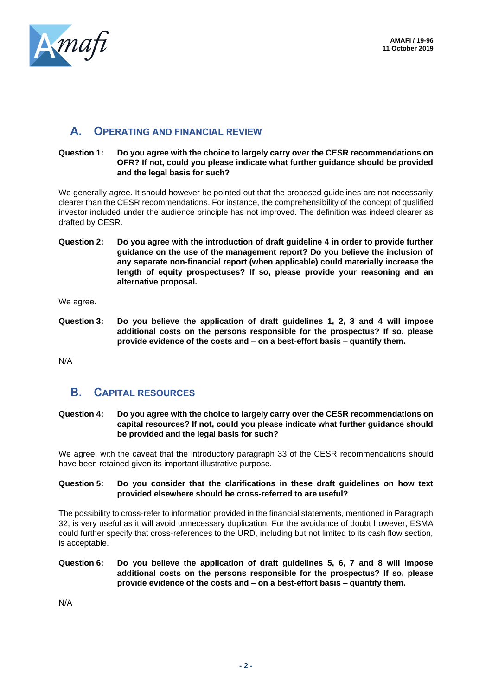

# **A. OPERATING AND FINANCIAL REVIEW**

#### **Question 1: Do you agree with the choice to largely carry over the CESR recommendations on OFR? If not, could you please indicate what further guidance should be provided and the legal basis for such?**

We generally agree. It should however be pointed out that the proposed guidelines are not necessarily clearer than the CESR recommendations. For instance, the comprehensibility of the concept of qualified investor included under the audience principle has not improved. The definition was indeed clearer as drafted by CESR.

**Question 2: Do you agree with the introduction of draft guideline 4 in order to provide further guidance on the use of the management report? Do you believe the inclusion of any separate non-financial report (when applicable) could materially increase the length of equity prospectuses? If so, please provide your reasoning and an alternative proposal.**

We agree.

**Question 3: Do you believe the application of draft guidelines 1, 2, 3 and 4 will impose additional costs on the persons responsible for the prospectus? If so, please provide evidence of the costs and – on a best-effort basis – quantify them.**

N/A

# **B. CAPITAL RESOURCES**

**Question 4: Do you agree with the choice to largely carry over the CESR recommendations on capital resources? If not, could you please indicate what further guidance should be provided and the legal basis for such?**

We agree, with the caveat that the introductory paragraph 33 of the CESR recommendations should have been retained given its important illustrative purpose.

#### **Question 5: Do you consider that the clarifications in these draft guidelines on how text provided elsewhere should be cross-referred to are useful?**

The possibility to cross-refer to information provided in the financial statements, mentioned in Paragraph 32, is very useful as it will avoid unnecessary duplication. For the avoidance of doubt however, ESMA could further specify that cross-references to the URD, including but not limited to its cash flow section, is acceptable.

**Question 6: Do you believe the application of draft guidelines 5, 6, 7 and 8 will impose additional costs on the persons responsible for the prospectus? If so, please provide evidence of the costs and – on a best-effort basis – quantify them.**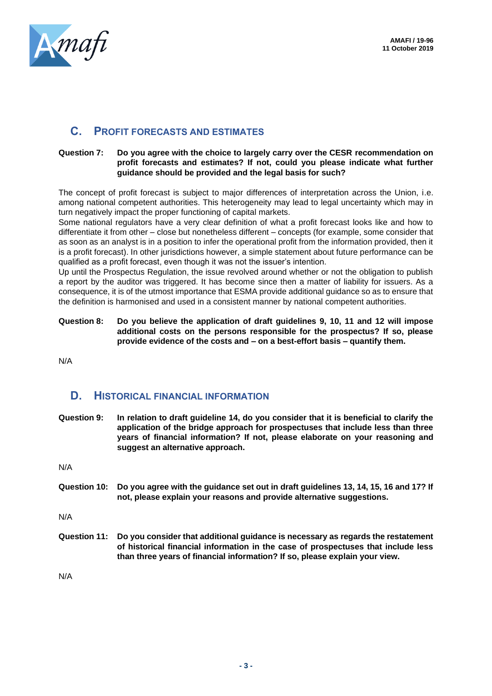

# **C. PROFIT FORECASTS AND ESTIMATES**

#### **Question 7: Do you agree with the choice to largely carry over the CESR recommendation on profit forecasts and estimates? If not, could you please indicate what further guidance should be provided and the legal basis for such?**

The concept of profit forecast is subject to major differences of interpretation across the Union, i.e. among national competent authorities. This heterogeneity may lead to legal uncertainty which may in turn negatively impact the proper functioning of capital markets.

Some national regulators have a very clear definition of what a profit forecast looks like and how to differentiate it from other – close but nonetheless different – concepts (for example, some consider that as soon as an analyst is in a position to infer the operational profit from the information provided, then it is a profit forecast). In other jurisdictions however, a simple statement about future performance can be qualified as a profit forecast, even though it was not the issuer's intention.

Up until the Prospectus Regulation, the issue revolved around whether or not the obligation to publish a report by the auditor was triggered. It has become since then a matter of liability for issuers. As a consequence, it is of the utmost importance that ESMA provide additional guidance so as to ensure that the definition is harmonised and used in a consistent manner by national competent authorities.

**Question 8: Do you believe the application of draft guidelines 9, 10, 11 and 12 will impose additional costs on the persons responsible for the prospectus? If so, please provide evidence of the costs and – on a best-effort basis – quantify them.**

N/A

# **D. HISTORICAL FINANCIAL INFORMATION**

**Question 9: In relation to draft guideline 14, do you consider that it is beneficial to clarify the application of the bridge approach for prospectuses that include less than three years of financial information? If not, please elaborate on your reasoning and suggest an alternative approach.**

N/A

**Question 10: Do you agree with the guidance set out in draft guidelines 13, 14, 15, 16 and 17? If not, please explain your reasons and provide alternative suggestions.**

N/A

**Question 11: Do you consider that additional guidance is necessary as regards the restatement of historical financial information in the case of prospectuses that include less than three years of financial information? If so, please explain your view.**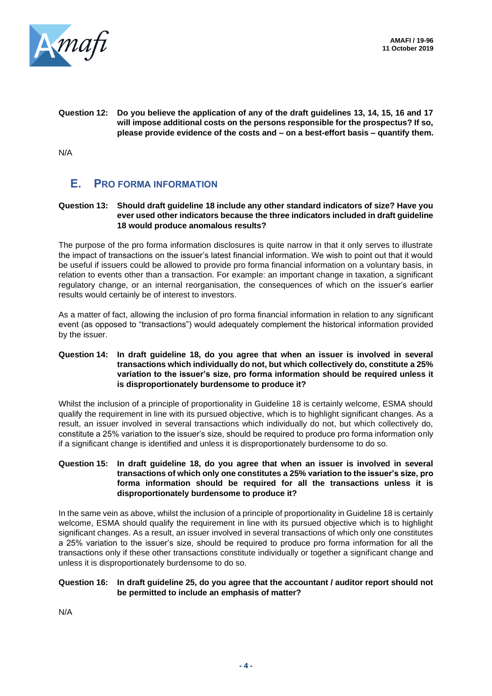

**Question 12: Do you believe the application of any of the draft guidelines 13, 14, 15, 16 and 17 will impose additional costs on the persons responsible for the prospectus? If so, please provide evidence of the costs and – on a best-effort basis – quantify them.**

N/A

# **E. PRO FORMA INFORMATION**

#### **Question 13: Should draft guideline 18 include any other standard indicators of size? Have you ever used other indicators because the three indicators included in draft guideline 18 would produce anomalous results?**

The purpose of the pro forma information disclosures is quite narrow in that it only serves to illustrate the impact of transactions on the issuer's latest financial information. We wish to point out that it would be useful if issuers could be allowed to provide pro forma financial information on a voluntary basis, in relation to events other than a transaction. For example: an important change in taxation, a significant regulatory change, or an internal reorganisation, the consequences of which on the issuer's earlier results would certainly be of interest to investors.

As a matter of fact, allowing the inclusion of pro forma financial information in relation to any significant event (as opposed to "transactions") would adequately complement the historical information provided by the issuer.

#### **Question 14: In draft guideline 18, do you agree that when an issuer is involved in several transactions which individually do not, but which collectively do, constitute a 25% variation to the issuer's size, pro forma information should be required unless it is disproportionately burdensome to produce it?**

Whilst the inclusion of a principle of proportionality in Guideline 18 is certainly welcome, ESMA should qualify the requirement in line with its pursued objective, which is to highlight significant changes. As a result, an issuer involved in several transactions which individually do not, but which collectively do, constitute a 25% variation to the issuer's size, should be required to produce pro forma information only if a significant change is identified and unless it is disproportionately burdensome to do so.

#### **Question 15: In draft guideline 18, do you agree that when an issuer is involved in several transactions of which only one constitutes a 25% variation to the issuer's size, pro forma information should be required for all the transactions unless it is disproportionately burdensome to produce it?**

In the same vein as above, whilst the inclusion of a principle of proportionality in Guideline 18 is certainly welcome, ESMA should qualify the requirement in line with its pursued objective which is to highlight significant changes. As a result, an issuer involved in several transactions of which only one constitutes a 25% variation to the issuer's size, should be required to produce pro forma information for all the transactions only if these other transactions constitute individually or together a significant change and unless it is disproportionately burdensome to do so.

#### **Question 16: In draft guideline 25, do you agree that the accountant / auditor report should not be permitted to include an emphasis of matter?**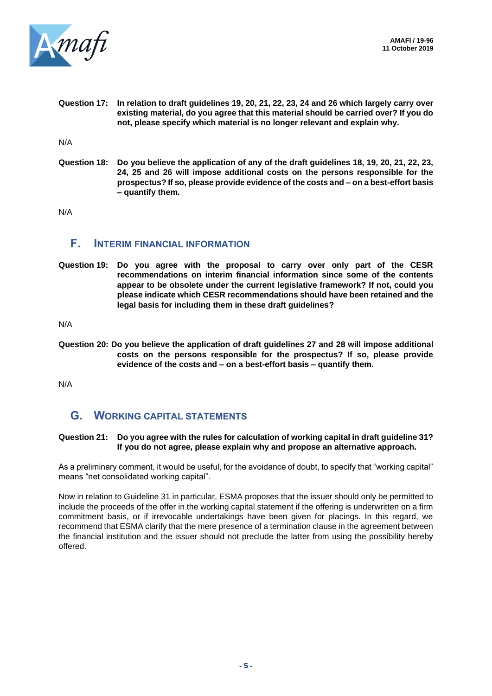

**Question 17: In relation to draft guidelines 19, 20, 21, 22, 23, 24 and 26 which largely carry over existing material, do you agree that this material should be carried over? If you do not, please specify which material is no longer relevant and explain why.**

N/A

**Question 18: Do you believe the application of any of the draft guidelines 18, 19, 20, 21, 22, 23, 24, 25 and 26 will impose additional costs on the persons responsible for the prospectus? If so, please provide evidence of the costs and – on a best-effort basis – quantify them.**

N/A

### **F. INTERIM FINANCIAL INFORMATION**

**Question 19: Do you agree with the proposal to carry over only part of the CESR recommendations on interim financial information since some of the contents appear to be obsolete under the current legislative framework? If not, could you please indicate which CESR recommendations should have been retained and the legal basis for including them in these draft guidelines?**

N/A

**Question 20: Do you believe the application of draft guidelines 27 and 28 will impose additional costs on the persons responsible for the prospectus? If so, please provide evidence of the costs and – on a best-effort basis – quantify them.**

N/A

# **G. WORKING CAPITAL STATEMENTS**

#### **Question 21: Do you agree with the rules for calculation of working capital in draft guideline 31? If you do not agree, please explain why and propose an alternative approach.**

As a preliminary comment, it would be useful, for the avoidance of doubt, to specify that "working capital" means "net consolidated working capital".

Now in relation to Guideline 31 in particular, ESMA proposes that the issuer should only be permitted to include the proceeds of the offer in the working capital statement if the offering is underwritten on a firm commitment basis, or if irrevocable undertakings have been given for placings. In this regard, we recommend that ESMA clarify that the mere presence of a termination clause in the agreement between the financial institution and the issuer should not preclude the latter from using the possibility hereby offered.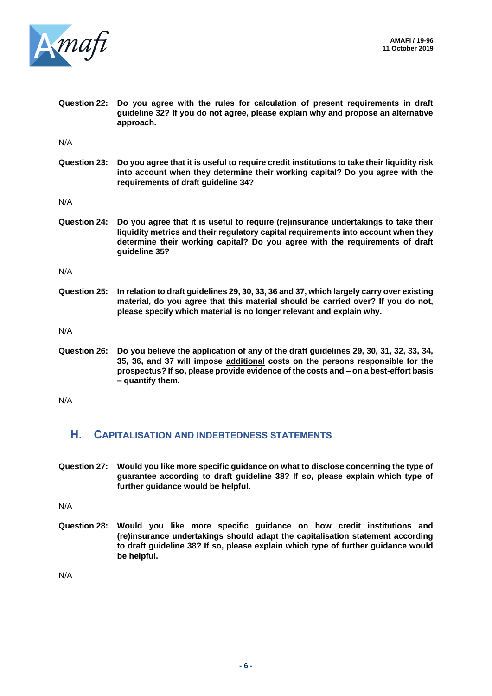

**Question 22: Do you agree with the rules for calculation of present requirements in draft guideline 32? If you do not agree, please explain why and propose an alternative approach.**

N/A

**Question 23: Do you agree that it is useful to require credit institutions to take their liquidity risk into account when they determine their working capital? Do you agree with the requirements of draft guideline 34?**

N/A

**Question 24: Do you agree that it is useful to require (re)insurance undertakings to take their liquidity metrics and their regulatory capital requirements into account when they determine their working capital? Do you agree with the requirements of draft guideline 35?**

N/A

**Question 25: In relation to draft guidelines 29, 30, 33, 36 and 37, which largely carry over existing material, do you agree that this material should be carried over? If you do not, please specify which material is no longer relevant and explain why.**

N/A

**Question 26: Do you believe the application of any of the draft guidelines 29, 30, 31, 32, 33, 34, 35, 36, and 37 will impose additional costs on the persons responsible for the prospectus? If so, please provide evidence of the costs and – on a best-effort basis – quantify them.**

N/A

### **H. CAPITALISATION AND INDEBTEDNESS STATEMENTS**

**Question 27: Would you like more specific guidance on what to disclose concerning the type of guarantee according to draft guideline 38? If so, please explain which type of further guidance would be helpful.**

N/A

**Question 28: Would you like more specific guidance on how credit institutions and (re)insurance undertakings should adapt the capitalisation statement according to draft guideline 38? If so, please explain which type of further guidance would be helpful.**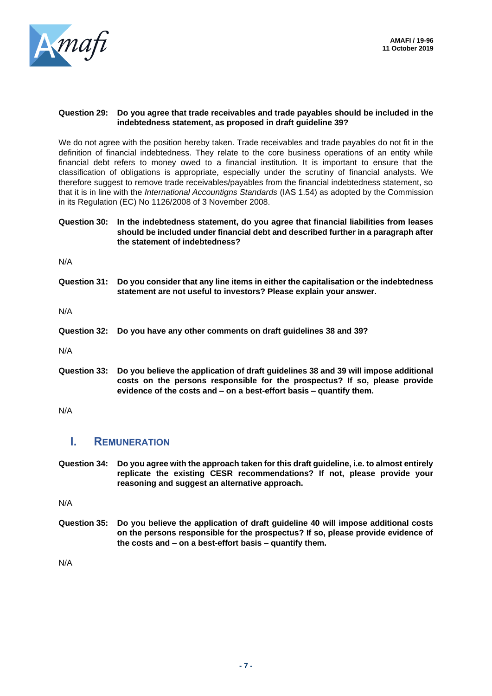

#### **Question 29: Do you agree that trade receivables and trade payables should be included in the indebtedness statement, as proposed in draft guideline 39?**

We do not agree with the position hereby taken. Trade receivables and trade payables do not fit in the definition of financial indebtedness. They relate to the core business operations of an entity while financial debt refers to money owed to a financial institution. It is important to ensure that the classification of obligations is appropriate, especially under the scrutiny of financial analysts. We therefore suggest to remove trade receivables/payables from the financial indebtedness statement, so that it is in line with the *International Accountigns Standards* (IAS 1.54) as adopted by the Commission in its Regulation (EC) No 1126/2008 of 3 November 2008.

#### **Question 30: In the indebtedness statement, do you agree that financial liabilities from leases should be included under financial debt and described further in a paragraph after the statement of indebtedness?**

N/A

**Question 31: Do you consider that any line items in either the capitalisation or the indebtedness statement are not useful to investors? Please explain your answer.**

N/A

**Question 32: Do you have any other comments on draft guidelines 38 and 39?**

N/A

**Question 33: Do you believe the application of draft guidelines 38 and 39 will impose additional costs on the persons responsible for the prospectus? If so, please provide evidence of the costs and – on a best-effort basis – quantify them.**

N/A

# **I. REMUNERATION**

**Question 34: Do you agree with the approach taken for this draft guideline, i.e. to almost entirely replicate the existing CESR recommendations? If not, please provide your reasoning and suggest an alternative approach.**

N/A

**Question 35: Do you believe the application of draft guideline 40 will impose additional costs on the persons responsible for the prospectus? If so, please provide evidence of the costs and – on a best-effort basis – quantify them.**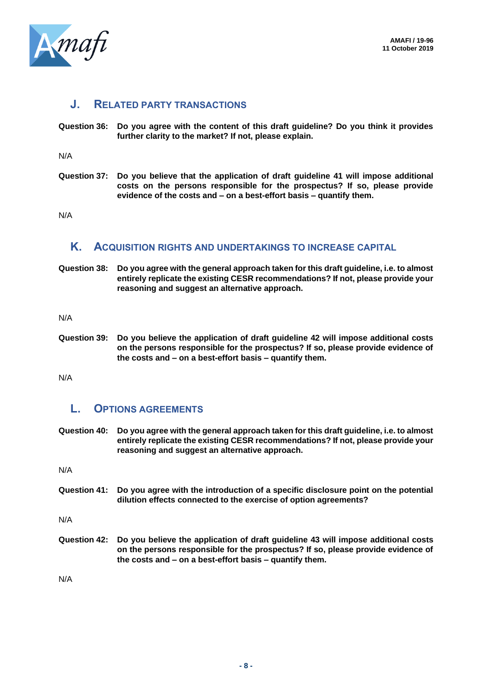

### **J. RELATED PARTY TRANSACTIONS**

**Question 36: Do you agree with the content of this draft guideline? Do you think it provides further clarity to the market? If not, please explain.**

N/A

**Question 37: Do you believe that the application of draft guideline 41 will impose additional costs on the persons responsible for the prospectus? If so, please provide evidence of the costs and – on a best-effort basis – quantify them.**

N/A

### **K. ACQUISITION RIGHTS AND UNDERTAKINGS TO INCREASE CAPITAL**

**Question 38: Do you agree with the general approach taken for this draft guideline, i.e. to almost entirely replicate the existing CESR recommendations? If not, please provide your reasoning and suggest an alternative approach.**

N/A

**Question 39: Do you believe the application of draft guideline 42 will impose additional costs on the persons responsible for the prospectus? If so, please provide evidence of the costs and – on a best-effort basis – quantify them.**

N/A

# **L. OPTIONS AGREEMENTS**

**Question 40: Do you agree with the general approach taken for this draft guideline, i.e. to almost entirely replicate the existing CESR recommendations? If not, please provide your reasoning and suggest an alternative approach.**

N/A

**Question 41: Do you agree with the introduction of a specific disclosure point on the potential dilution effects connected to the exercise of option agreements?**

N/A

**Question 42: Do you believe the application of draft guideline 43 will impose additional costs on the persons responsible for the prospectus? If so, please provide evidence of the costs and – on a best-effort basis – quantify them.**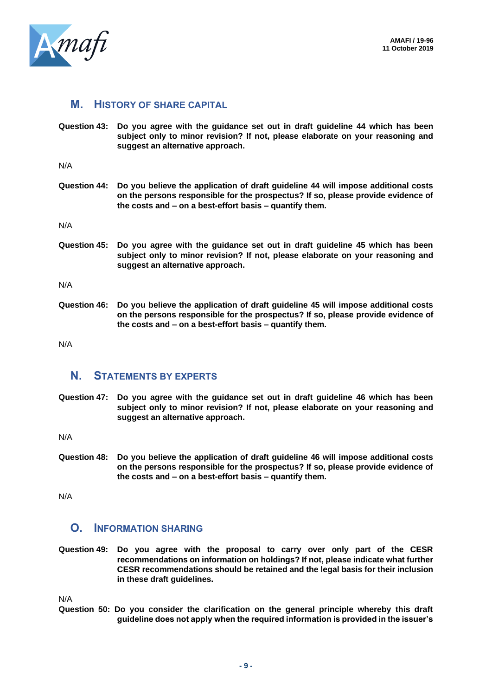

# **M. HISTORY OF SHARE CAPITAL**

**Question 43: Do you agree with the guidance set out in draft guideline 44 which has been subject only to minor revision? If not, please elaborate on your reasoning and suggest an alternative approach.**

N/A

**Question 44: Do you believe the application of draft guideline 44 will impose additional costs on the persons responsible for the prospectus? If so, please provide evidence of the costs and – on a best-effort basis – quantify them.**

N/A

**Question 45: Do you agree with the guidance set out in draft guideline 45 which has been subject only to minor revision? If not, please elaborate on your reasoning and suggest an alternative approach.**

N/A

**Question 46: Do you believe the application of draft guideline 45 will impose additional costs on the persons responsible for the prospectus? If so, please provide evidence of the costs and – on a best-effort basis – quantify them.**

N/A

### **N. STATEMENTS BY EXPERTS**

**Question 47: Do you agree with the guidance set out in draft guideline 46 which has been subject only to minor revision? If not, please elaborate on your reasoning and suggest an alternative approach.**

N/A

**Question 48: Do you believe the application of draft guideline 46 will impose additional costs on the persons responsible for the prospectus? If so, please provide evidence of the costs and – on a best-effort basis – quantify them.**

N/A

# **O. INFORMATION SHARING**

**Question 49: Do you agree with the proposal to carry over only part of the CESR recommendations on information on holdings? If not, please indicate what further CESR recommendations should be retained and the legal basis for their inclusion in these draft guidelines.**

N/A

**Question 50: Do you consider the clarification on the general principle whereby this draft guideline does not apply when the required information is provided in the issuer's**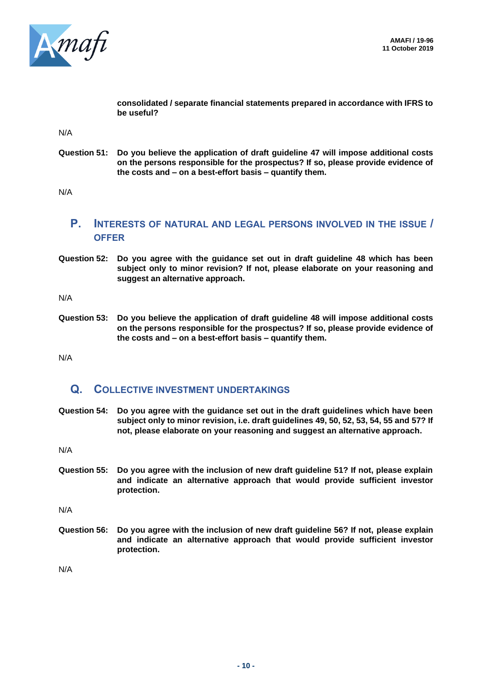

**consolidated / separate financial statements prepared in accordance with IFRS to be useful?**

N/A

**Question 51: Do you believe the application of draft guideline 47 will impose additional costs on the persons responsible for the prospectus? If so, please provide evidence of the costs and – on a best-effort basis – quantify them.**

N/A

# **P. INTERESTS OF NATURAL AND LEGAL PERSONS INVOLVED IN THE ISSUE / OFFER**

**Question 52: Do you agree with the guidance set out in draft guideline 48 which has been subject only to minor revision? If not, please elaborate on your reasoning and suggest an alternative approach.**

N/A

**Question 53: Do you believe the application of draft guideline 48 will impose additional costs on the persons responsible for the prospectus? If so, please provide evidence of the costs and – on a best-effort basis – quantify them.**

N/A

# **Q. COLLECTIVE INVESTMENT UNDERTAKINGS**

**Question 54: Do you agree with the guidance set out in the draft guidelines which have been subject only to minor revision, i.e. draft guidelines 49, 50, 52, 53, 54, 55 and 57? If not, please elaborate on your reasoning and suggest an alternative approach.**

N/A

**Question 55: Do you agree with the inclusion of new draft guideline 51? If not, please explain and indicate an alternative approach that would provide sufficient investor protection.**

N/A

**Question 56: Do you agree with the inclusion of new draft guideline 56? If not, please explain and indicate an alternative approach that would provide sufficient investor protection.**